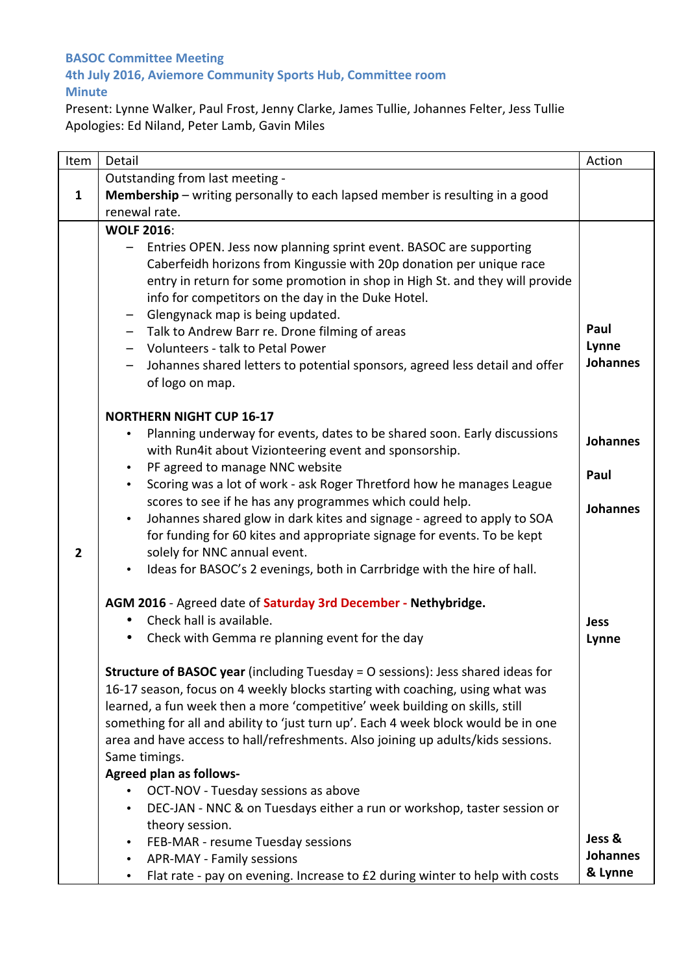## **BASOC Committee Meeting**

## **4th July 2016, Aviemore Community Sports Hub, Committee room Minute**

Present: Lynne Walker, Paul Frost, Jenny Clarke, James Tullie, Johannes Felter, Jess Tullie Apologies: Ed Niland, Peter Lamb, Gavin Miles

| Item         | Detail                                                                                                                                                                                                                                                                                                                                                                                                                                                                                                       | Action                           |
|--------------|--------------------------------------------------------------------------------------------------------------------------------------------------------------------------------------------------------------------------------------------------------------------------------------------------------------------------------------------------------------------------------------------------------------------------------------------------------------------------------------------------------------|----------------------------------|
|              | Outstanding from last meeting -                                                                                                                                                                                                                                                                                                                                                                                                                                                                              |                                  |
| $\mathbf{1}$ | <b>Membership</b> – writing personally to each lapsed member is resulting in a good                                                                                                                                                                                                                                                                                                                                                                                                                          |                                  |
|              | renewal rate.                                                                                                                                                                                                                                                                                                                                                                                                                                                                                                |                                  |
|              | <b>WOLF 2016:</b>                                                                                                                                                                                                                                                                                                                                                                                                                                                                                            |                                  |
|              | Entries OPEN. Jess now planning sprint event. BASOC are supporting<br>Caberfeidh horizons from Kingussie with 20p donation per unique race<br>entry in return for some promotion in shop in High St. and they will provide<br>info for competitors on the day in the Duke Hotel.<br>Glengynack map is being updated.<br>Talk to Andrew Barr re. Drone filming of areas<br>Volunteers - talk to Petal Power<br>Johannes shared letters to potential sponsors, agreed less detail and offer<br>of logo on map. | Paul<br>Lynne<br><b>Johannes</b> |
|              | <b>NORTHERN NIGHT CUP 16-17</b>                                                                                                                                                                                                                                                                                                                                                                                                                                                                              |                                  |
|              | Planning underway for events, dates to be shared soon. Early discussions<br>$\bullet$<br>with Run4it about Vizionteering event and sponsorship.<br>PF agreed to manage NNC website<br>$\bullet$                                                                                                                                                                                                                                                                                                              | <b>Johannes</b><br>Paul          |
|              | Scoring was a lot of work - ask Roger Thretford how he manages League<br>$\bullet$                                                                                                                                                                                                                                                                                                                                                                                                                           |                                  |
|              | scores to see if he has any programmes which could help.                                                                                                                                                                                                                                                                                                                                                                                                                                                     | <b>Johannes</b>                  |
|              | Johannes shared glow in dark kites and signage - agreed to apply to SOA<br>$\bullet$                                                                                                                                                                                                                                                                                                                                                                                                                         |                                  |
| $\mathbf{2}$ | for funding for 60 kites and appropriate signage for events. To be kept<br>solely for NNC annual event.                                                                                                                                                                                                                                                                                                                                                                                                      |                                  |
|              | Ideas for BASOC's 2 evenings, both in Carrbridge with the hire of hall.<br>$\bullet$                                                                                                                                                                                                                                                                                                                                                                                                                         |                                  |
|              | AGM 2016 - Agreed date of Saturday 3rd December - Nethybridge.                                                                                                                                                                                                                                                                                                                                                                                                                                               |                                  |
|              | Check hall is available.                                                                                                                                                                                                                                                                                                                                                                                                                                                                                     | <b>Jess</b>                      |
|              | Check with Gemma re planning event for the day                                                                                                                                                                                                                                                                                                                                                                                                                                                               | Lynne                            |
|              | <b>Structure of BASOC year</b> (including Tuesday = O sessions): Jess shared ideas for<br>16-17 season, focus on 4 weekly blocks starting with coaching, using what was<br>learned, a fun week then a more 'competitive' week building on skills, still<br>something for all and ability to 'just turn up'. Each 4 week block would be in one<br>area and have access to hall/refreshments. Also joining up adults/kids sessions.<br>Same timings.                                                           |                                  |
|              | <b>Agreed plan as follows-</b>                                                                                                                                                                                                                                                                                                                                                                                                                                                                               |                                  |
|              | OCT-NOV - Tuesday sessions as above                                                                                                                                                                                                                                                                                                                                                                                                                                                                          |                                  |
|              | DEC-JAN - NNC & on Tuesdays either a run or workshop, taster session or<br>$\bullet$                                                                                                                                                                                                                                                                                                                                                                                                                         |                                  |
|              | theory session.                                                                                                                                                                                                                                                                                                                                                                                                                                                                                              | Jess &                           |
|              | FEB-MAR - resume Tuesday sessions<br>$\bullet$<br>APR-MAY - Family sessions<br>$\bullet$                                                                                                                                                                                                                                                                                                                                                                                                                     | <b>Johannes</b>                  |
|              | Flat rate - pay on evening. Increase to £2 during winter to help with costs                                                                                                                                                                                                                                                                                                                                                                                                                                  | & Lynne                          |
|              |                                                                                                                                                                                                                                                                                                                                                                                                                                                                                                              |                                  |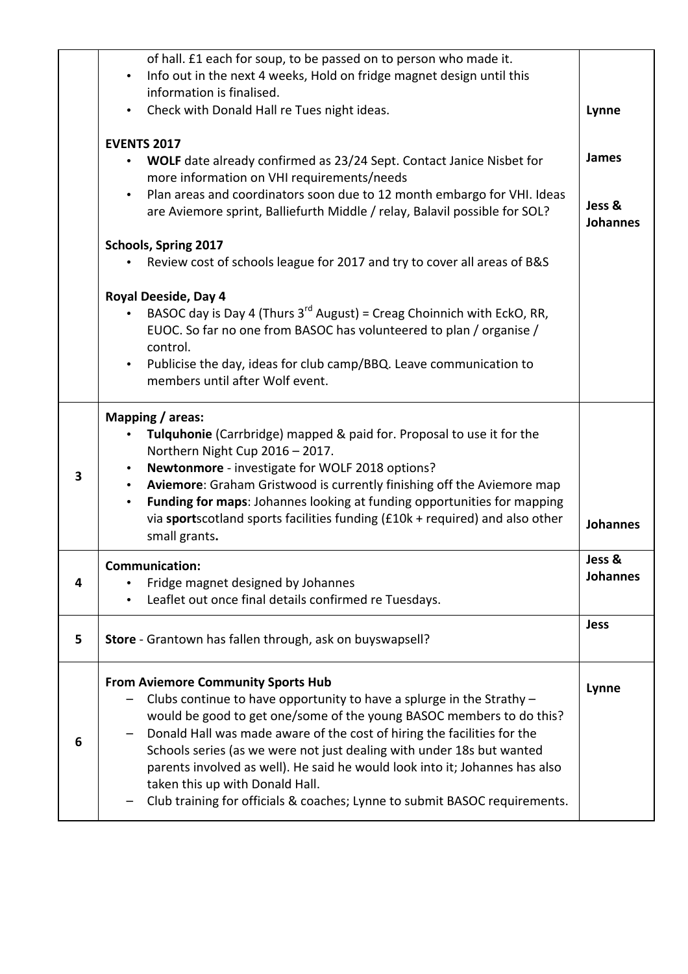|   | of hall. £1 each for soup, to be passed on to person who made it.                                                                                                                                                                                                                                                                                                                                                                                                                 |                           |
|---|-----------------------------------------------------------------------------------------------------------------------------------------------------------------------------------------------------------------------------------------------------------------------------------------------------------------------------------------------------------------------------------------------------------------------------------------------------------------------------------|---------------------------|
|   | Info out in the next 4 weeks, Hold on fridge magnet design until this<br>$\bullet$<br>information is finalised.                                                                                                                                                                                                                                                                                                                                                                   |                           |
|   | Check with Donald Hall re Tues night ideas.<br>$\bullet$                                                                                                                                                                                                                                                                                                                                                                                                                          | Lynne                     |
|   |                                                                                                                                                                                                                                                                                                                                                                                                                                                                                   |                           |
|   | <b>EVENTS 2017</b>                                                                                                                                                                                                                                                                                                                                                                                                                                                                |                           |
|   | WOLF date already confirmed as 23/24 Sept. Contact Janice Nisbet for<br>$\bullet$                                                                                                                                                                                                                                                                                                                                                                                                 | James                     |
|   | more information on VHI requirements/needs                                                                                                                                                                                                                                                                                                                                                                                                                                        |                           |
|   | Plan areas and coordinators soon due to 12 month embargo for VHI. Ideas<br>$\bullet$<br>are Aviemore sprint, Balliefurth Middle / relay, Balavil possible for SOL?                                                                                                                                                                                                                                                                                                                | Jess &<br><b>Johannes</b> |
|   | Schools, Spring 2017                                                                                                                                                                                                                                                                                                                                                                                                                                                              |                           |
|   | Review cost of schools league for 2017 and try to cover all areas of B&S                                                                                                                                                                                                                                                                                                                                                                                                          |                           |
|   | Royal Deeside, Day 4                                                                                                                                                                                                                                                                                                                                                                                                                                                              |                           |
|   | BASOC day is Day 4 (Thurs $3^{rd}$ August) = Creag Choinnich with EckO, RR,<br>$\bullet$<br>EUOC. So far no one from BASOC has volunteered to plan / organise /<br>control.                                                                                                                                                                                                                                                                                                       |                           |
|   | Publicise the day, ideas for club camp/BBQ. Leave communication to<br>$\bullet$<br>members until after Wolf event.                                                                                                                                                                                                                                                                                                                                                                |                           |
| 3 | Mapping / areas:<br>Tulquhonie (Carrbridge) mapped & paid for. Proposal to use it for the<br>$\bullet$<br>Northern Night Cup 2016 - 2017.<br>Newtonmore - investigate for WOLF 2018 options?<br>$\bullet$<br>Aviemore: Graham Gristwood is currently finishing off the Aviemore map<br>$\bullet$<br>Funding for maps: Johannes looking at funding opportunities for mapping<br>٠<br>via sportscotland sports facilities funding (£10k + required) and also other<br>small grants. | <b>Johannes</b>           |
|   |                                                                                                                                                                                                                                                                                                                                                                                                                                                                                   |                           |
|   | Communication:                                                                                                                                                                                                                                                                                                                                                                                                                                                                    | Jess &                    |
| 4 | Fridge magnet designed by Johannes<br>$\bullet$                                                                                                                                                                                                                                                                                                                                                                                                                                   | <b>Johannes</b>           |
|   | Leaflet out once final details confirmed re Tuesdays.                                                                                                                                                                                                                                                                                                                                                                                                                             |                           |
| 5 | Store - Grantown has fallen through, ask on buyswapsell?                                                                                                                                                                                                                                                                                                                                                                                                                          | <b>Jess</b>               |
|   | <b>From Aviemore Community Sports Hub</b>                                                                                                                                                                                                                                                                                                                                                                                                                                         | Lynne                     |
|   | Clubs continue to have opportunity to have a splurge in the Strathy $-$                                                                                                                                                                                                                                                                                                                                                                                                           |                           |
|   | would be good to get one/some of the young BASOC members to do this?                                                                                                                                                                                                                                                                                                                                                                                                              |                           |
| 6 | Donald Hall was made aware of the cost of hiring the facilities for the<br>Schools series (as we were not just dealing with under 18s but wanted                                                                                                                                                                                                                                                                                                                                  |                           |
|   | parents involved as well). He said he would look into it; Johannes has also                                                                                                                                                                                                                                                                                                                                                                                                       |                           |
|   | taken this up with Donald Hall.<br>Club training for officials & coaches; Lynne to submit BASOC requirements.                                                                                                                                                                                                                                                                                                                                                                     |                           |